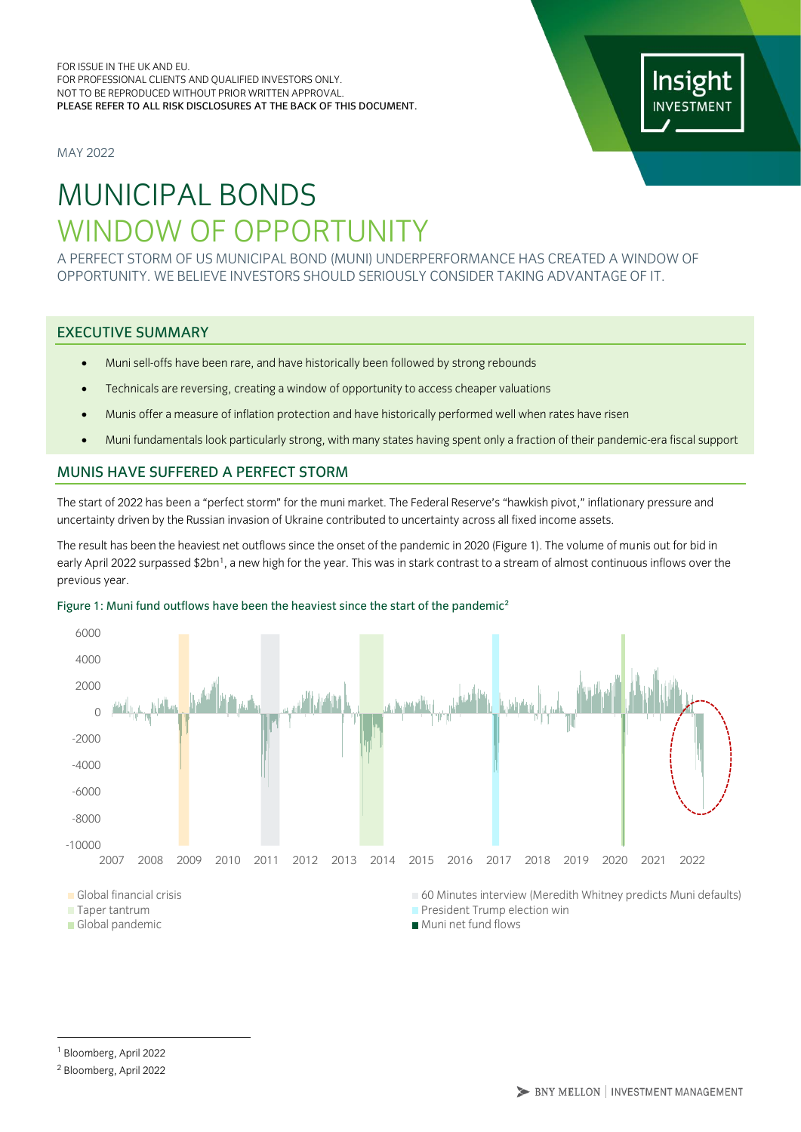MAY 2022



# MUNICIPAL BONDS WINDOW OF OPPORTUNITY

A PERFECT STORM OF US MUNICIPAL BOND (MUNI) UNDERPERFORMANCE HAS CREATED A WINDOW OF OPPORTUNITY. WE BELIEVE INVESTORS SHOULD SERIOUSLY CONSIDER TAKING ADVANTAGE OF IT.

## EXECUTIVE SUMMARY

- Muni sell-offs have been rare, and have historically been followed by strong rebounds
- Technicals are reversing, creating a window of opportunity to access cheaper valuations
- Munis offer a measure of inflation protection and have historically performed well when rates have risen
- Muni fundamentals look particularly strong, with many states having spent only a fraction of their pandemic-era fiscal support

## MUNIS HAVE SUFFERED A PERFECT STORM

The start of 2022 has been a "perfect storm" for the muni market. The Federal Reserve's "hawkish pivot," inflationary pressure and uncertainty driven by the Russian invasion of Ukraine contributed to uncertainty across all fixed income assets.

The result has been the heaviest net outflows since the onset of the pandemic in 2020 (Figure 1). The volume of munis out for bid in early April 2022 surpassed \$2bn<sup>1</sup>, a new high for the year. This was in stark contrast to a stream of almost continuous inflows over the previous year.



#### Figure 1: Muni fund outflows have been the heaviest since the start of the pandemic<sup>2</sup>

Global pandemic and a series of the Muni net fund flows

<sup>1</sup> Bloomberg, April 2022

<sup>2</sup> Bloomberg, April 2022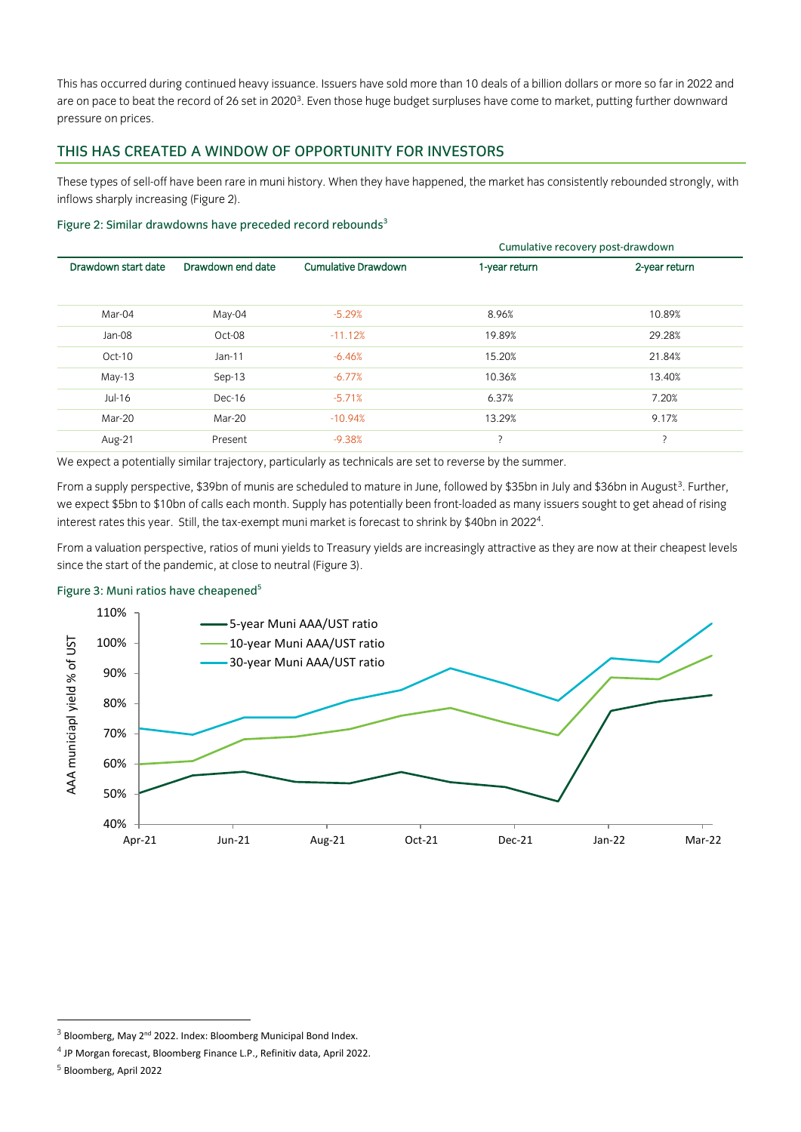This has occurred during continued heavy issuance. Issuers have sold more than 10 deals of a billion dollars or more so far in 2022 and are on pace to beat the record of 26 set in 2020<sup>3</sup>. Even those huge budget surpluses have come to market, putting further downward pressure on prices.

## THIS HAS CREATED A WINDOW OF OPPORTUNITY FOR INVESTORS

These types of sell-off have been rare in muni history. When they have happened, the market has consistently rebounded strongly, with inflows sharply increasing (Figure 2).

#### Figure 2: Similar drawdowns have preceded record rebounds<sup>3</sup>

|                     |                   |                            | Cumulative recovery post-drawdown |               |
|---------------------|-------------------|----------------------------|-----------------------------------|---------------|
| Drawdown start date | Drawdown end date | <b>Cumulative Drawdown</b> | 1-year return                     | 2-year return |
|                     |                   |                            |                                   |               |
| Mar-04              | May-04            | $-5.29%$                   | 8.96%                             | 10.89%        |
| Jan-08              | Oct-08            | $-11.12%$                  | 19.89%                            | 29.28%        |
| Oct-10              | $Jan-11$          | $-6.46%$                   | 15.20%                            | 21.84%        |
| $May-13$            | $Sep-13$          | $-6.77%$                   | 10.36%                            | 13.40%        |
| $Jul-16$            | Dec-16            | $-5.71%$                   | 6.37%                             | 7.20%         |
| Mar-20              | Mar-20            | $-10.94%$                  | 13.29%                            | 9.17%         |
| Aug-21              | Present           | $-9.38%$                   |                                   | 7             |

We expect a potentially similar trajectory, particularly as technicals are set to reverse by the summer.

From a supply perspective, \$39bn of munis are scheduled to mature in June, followed by \$35bn in July and \$36bn in August<sup>3</sup>. Further, we expect \$5bn to \$10bn of calls each month. Supply has potentially been front-loaded as many issuers sought to get ahead of rising interest rates this year. Still, the tax-exempt muni market is forecast to shrink by \$40bn in 2022 $^{\rm 4}$ .

From a valuation perspective, ratios of muni yields to Treasury yields are increasingly attractive as they are now at their cheapest levels since the start of the pandemic, at close to neutral (Figure 3).

#### Figure 3: Muni ratios have cheapened<sup>5</sup>



 $3$  Bloomberg, May 2<sup>nd</sup> 2022. Index: Bloomberg Municipal Bond Index.

<sup>&</sup>lt;sup>4</sup> JP Morgan forecast, Bloomberg Finance L.P., Refinitiv data, April 2022.

<sup>5</sup> Bloomberg, April 2022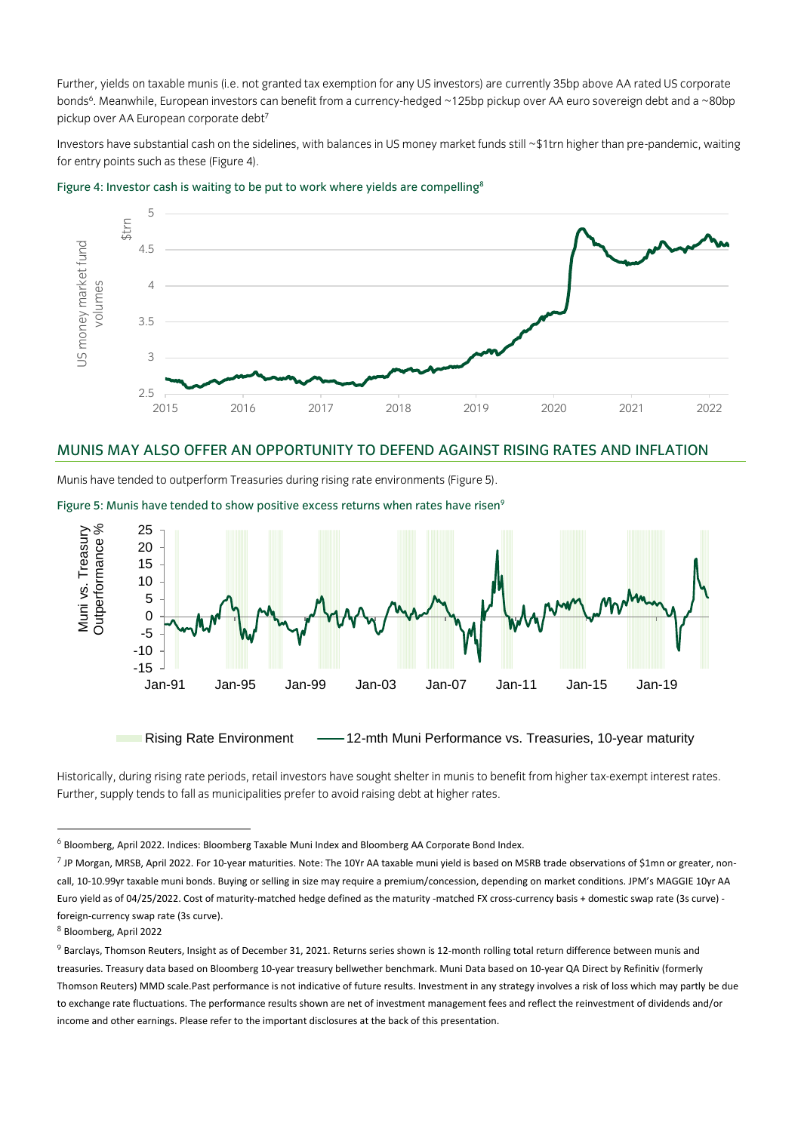Further, yields on taxable munis (i.e. not granted tax exemption for any US investors) are currently 35bp above AA rated US corporate bonds<sup>6</sup>. Meanwhile, European investors can benefit from a currency-hedged ~125bp pickup over AA euro sovereign debt and a ~80bp pickup over AA European corporate debt7

Investors have substantial cash on the sidelines, with balances in US money market funds still ~\$1trn higher than pre-pandemic, waiting for entry points such as these (Figure 4).



Figure 4: Investor cash is waiting to be put to work where yields are compelling<sup>8</sup>

## MUNIS MAY ALSO OFFER AN OPPORTUNITY TO DEFEND AGAINST RISING RATES AND INFLATION

Munis have tended to outperform Treasuries during rising rate environments (Figure 5).

Figure 5: Munis have tended to show positive excess returns when rates have risen<sup>9</sup>



Rising Rate Environment - - 12-mth Muni Performance vs. Treasuries, 10-year maturity

Historically, during rising rate periods, retail investors have sought shelter in munis to benefit from higher tax-exempt interest rates. Further, supply tends to fall as municipalities prefer to avoid raising debt at higher rates.

<sup>6</sup> Bloomberg, April 2022. Indices: Bloomberg Taxable Muni Index and Bloomberg AA Corporate Bond Index.

<sup>&</sup>lt;sup>7</sup> JP Morgan, MRSB, April 2022. For 10-year maturities. Note: The 10Yr AA taxable muni yield is based on MSRB trade observations of \$1mn or greater, noncall, 10-10.99yr taxable muni bonds. Buying or selling in size may require a premium/concession, depending on market conditions. JPM's MAGGIE 10yr AA Euro yield as of 04/25/2022. Cost of maturity-matched hedge defined as the maturity -matched FX cross-currency basis + domestic swap rate (3s curve) foreign-currency swap rate (3s curve).

<sup>8</sup> Bloomberg, April 2022

 $9$  Barclays, Thomson Reuters, Insight as of December 31, 2021. Returns series shown is 12-month rolling total return difference between munis and treasuries. Treasury data based on Bloomberg 10-year treasury bellwether benchmark. Muni Data based on 10-year QA Direct by Refinitiv (formerly Thomson Reuters) MMD scale.Past performance is not indicative of future results. Investment in any strategy involves a risk of loss which may partly be due to exchange rate fluctuations. The performance results shown are net of investment management fees and reflect the reinvestment of dividends and/or income and other earnings. Please refer to the important disclosures at the back of this presentation.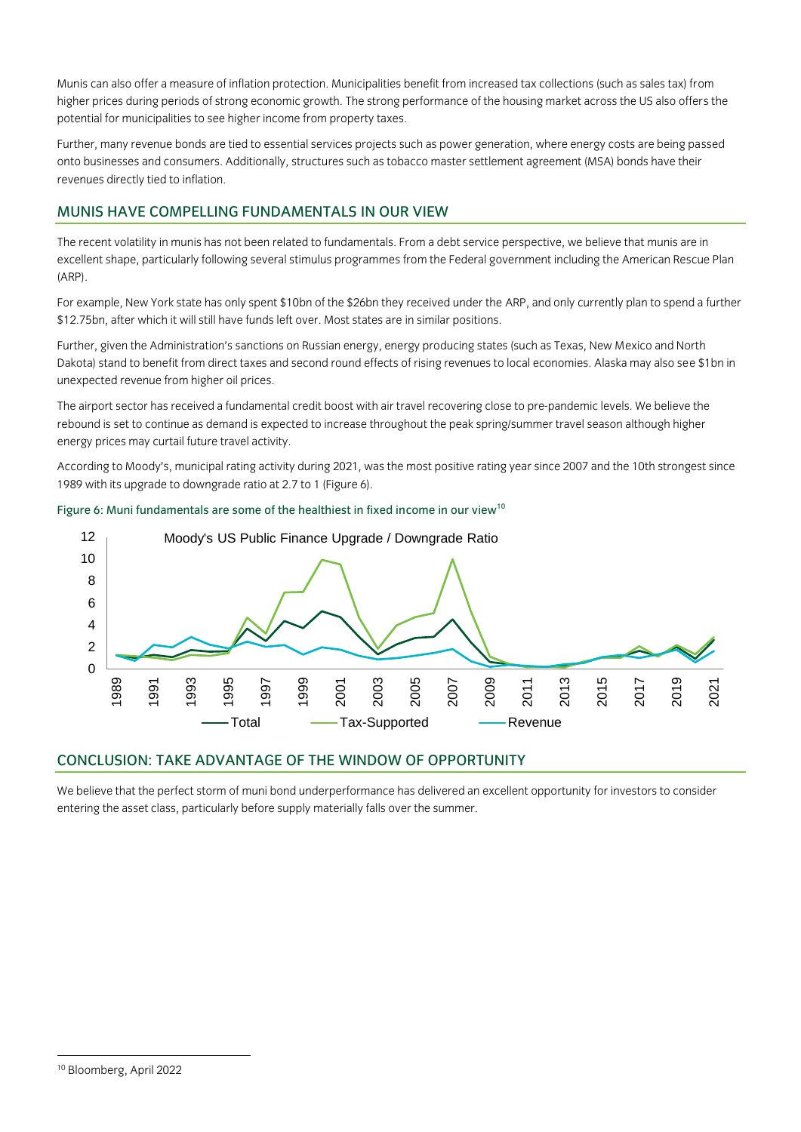Munis can also offer a measure of inflation protection. Municipalities benefit from increased tax collections (such as sales tax) from higher prices during periods of strong economic growth. The strong performance of the housing market across the US also offers the potential for municipalities to see higher income from property taxes.

Further, many revenue bonds are tied to essential services projects such as power generation, where energy costs are being passed onto businesses and consumers. Additionally, structures such as tobacco master settlement agreement (MSA) bonds have their revenues directly tied to inflation.

## MUNIS HAVE COMPELLING FUNDAMENTALS IN OUR VIEW

The recent volatility in munis has not been related to fundamentals. From a debt service perspective, we believe that munis are in excellent shape, particularly following several stimulus programmes from the Federal government including the American Rescue Plan (ARP).

For example, New York state has only spent \$10bn of the \$26bn they received under the ARP, and only currently plan to spend a further \$12.75bn, after which it will still have funds left over. Most states are in similar positions.

Further, given the Administration's sanctions on Russian energy, energy producing states (such as Texas, New Mexico and North Dakota) stand to benefit from direct taxes and second round effects of rising revenues to local economies. Alaska may also see \$1bn in unexpected revenue from higher oil prices.

The airport sector has received a fundamental credit boost with air travel recovering close to pre-pandemic levels. We believe the rebound is set to continue as demand is expected to increase throughout the peak spring/summer travel season although higher energy prices may curtail future travel activity.

According to Moody's, municipal rating activity during 2021, was the most positive rating year since 2007 and the 10th strongest since 1989 with its upgrade to downgrade ratio at 2.7 to 1 (Figure 6).





# CONCLUSION: TAKE ADVANTAGE OF THE WINDOW OF OPPORTUNITY

We believe that the perfect storm of muni bond underperformance has delivered an excellent opportunity for investors to consider entering the asset class, particularly before supply materially falls over the summer.

<sup>10</sup> Bloomberg, April 2022